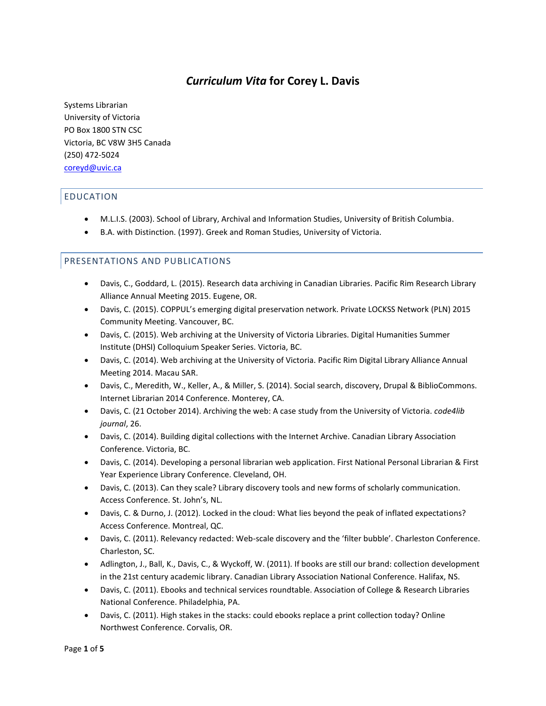# *Curriculum Vita* **for Corey L. Davis**

Systems Librarian University of Victoria PO Box 1800 STN CSC Victoria, BC V8W 3H5 Canada (250) 472-5024 [coreyd@uvic.ca](mailto:coreyd@uvic.ca)

### EDUCATION

- M.L.I.S. (2003). School of Library, Archival and Information Studies, University of British Columbia.
- B.A. with Distinction. (1997). Greek and Roman Studies, University of Victoria.

### PRESENTATIONS AND PUBLICATIONS

- Davis, C., Goddard, L. (2015). Research data archiving in Canadian Libraries. Pacific Rim Research Library Alliance Annual Meeting 2015. Eugene, OR.
- Davis, C. (2015). COPPUL's emerging digital preservation network. Private LOCKSS Network (PLN) 2015 Community Meeting. Vancouver, BC.
- Davis, C. (2015). Web archiving at the University of Victoria Libraries. Digital Humanities Summer Institute (DHSI) Colloquium Speaker Series. Victoria, BC.
- Davis, C. (2014). Web archiving at the University of Victoria. Pacific Rim Digital Library Alliance Annual Meeting 2014. Macau SAR.
- Davis, C., Meredith, W., Keller, A., & Miller, S. (2014). Social search, discovery, Drupal & BiblioCommons. Internet Librarian 2014 Conference. Monterey, CA.
- Davis, C. (21 October 2014). Archiving the web: A case study from the University of Victoria. *code4lib journal*, 26.
- Davis, C. (2014). Building digital collections with the Internet Archive. Canadian Library Association Conference. Victoria, BC.
- Davis, C. (2014). Developing a personal librarian web application. First National Personal Librarian & First Year Experience Library Conference. Cleveland, OH.
- Davis, C. (2013). Can they scale? Library discovery tools and new forms of scholarly communication. Access Conference. St. John's, NL.
- Davis, C. & Durno, J. (2012). Locked in the cloud: What lies beyond the peak of inflated expectations? Access Conference. Montreal, QC.
- Davis, C. (2011). Relevancy redacted: Web-scale discovery and the 'filter bubble'. Charleston Conference. Charleston, SC.
- Adlington, J., Ball, K., Davis, C., & Wyckoff, W. (2011). If books are still our brand: collection development in the 21st century academic library. Canadian Library Association National Conference. Halifax, NS.
- Davis, C. (2011). Ebooks and technical services roundtable. Association of College & Research Libraries National Conference. Philadelphia, PA.
- Davis, C. (2011). High stakes in the stacks: could ebooks replace a print collection today? Online Northwest Conference. Corvalis, OR.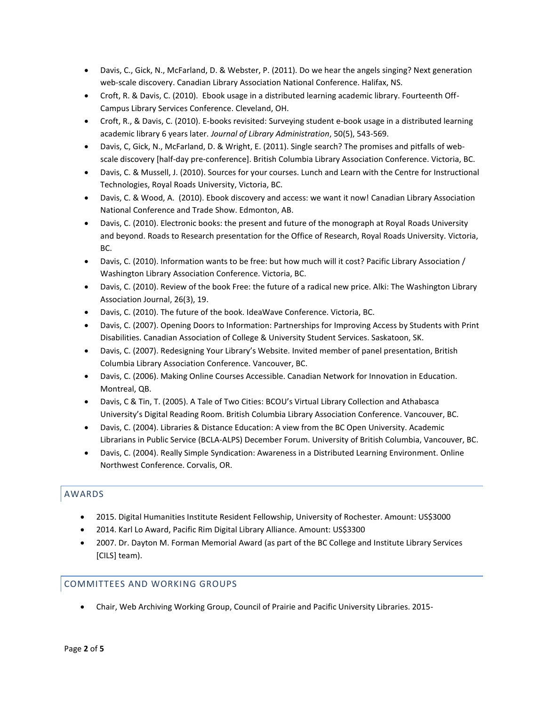- Davis, C., Gick, N., McFarland, D. & Webster, P. (2011). Do we hear the angels singing? Next generation web-scale discovery. Canadian Library Association National Conference. Halifax, NS.
- Croft, R. & Davis, C. (2010). Ebook usage in a distributed learning academic library. Fourteenth Off-Campus Library Services Conference. Cleveland, OH.
- Croft, R., & Davis, C. (2010). E-books revisited: Surveying student e-book usage in a distributed learning academic library 6 years later. *Journal of Library Administration*, 50(5), 543-569.
- Davis, C, Gick, N., McFarland, D. & Wright, E. (2011). Single search? The promises and pitfalls of webscale discovery [half-day pre-conference]. British Columbia Library Association Conference. Victoria, BC.
- Davis, C. & Mussell, J. (2010). Sources for your courses. Lunch and Learn with the Centre for Instructional Technologies, Royal Roads University, Victoria, BC.
- Davis, C. & Wood, A. (2010). Ebook discovery and access: we want it now! Canadian Library Association National Conference and Trade Show. Edmonton, AB.
- Davis, C. (2010). Electronic books: the present and future of the monograph at Royal Roads University and beyond. Roads to Research presentation for the Office of Research, Royal Roads University. Victoria, BC.
- Davis, C. (2010). Information wants to be free: but how much will it cost? Pacific Library Association / Washington Library Association Conference. Victoria, BC.
- Davis, C. (2010). Review of the book Free: the future of a radical new price. Alki: The Washington Library Association Journal, 26(3), 19.
- Davis, C. (2010). The future of the book. IdeaWave Conference. Victoria, BC.
- Davis, C. (2007). Opening Doors to Information: Partnerships for Improving Access by Students with Print Disabilities. Canadian Association of College & University Student Services. Saskatoon, SK.
- Davis, C. (2007). Redesigning Your Library's Website. Invited member of panel presentation, British Columbia Library Association Conference. Vancouver, BC.
- Davis, C. (2006). Making Online Courses Accessible. Canadian Network for Innovation in Education. Montreal, QB.
- Davis, C & Tin, T. (2005). A Tale of Two Cities: BCOU's Virtual Library Collection and Athabasca University's Digital Reading Room. British Columbia Library Association Conference. Vancouver, BC.
- Davis, C. (2004). Libraries & Distance Education: A view from the BC Open University. Academic Librarians in Public Service (BCLA-ALPS) December Forum. University of British Columbia, Vancouver, BC.
- Davis, C. (2004). Really Simple Syndication: Awareness in a Distributed Learning Environment. Online Northwest Conference. Corvalis, OR.

## AWARDS

- 2015. Digital Humanities Institute Resident Fellowship, University of Rochester. Amount: US\$3000
- 2014. Karl Lo Award, Pacific Rim Digital Library Alliance. Amount: US\$3300
- 2007. Dr. Dayton M. Forman Memorial Award (as part of the BC College and Institute Library Services [CILS] team).

## COMMITTEES AND WORKING GROUPS

Chair, Web Archiving Working Group, Council of Prairie and Pacific University Libraries. 2015-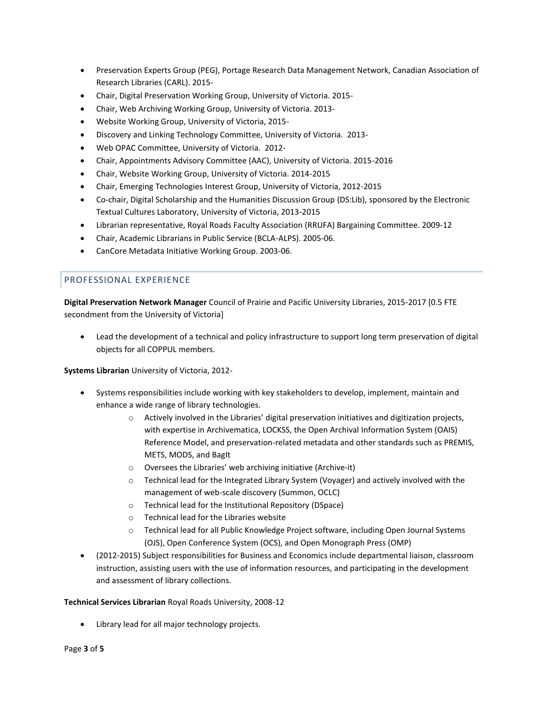- Preservation Experts Group (PEG), Portage Research Data Management Network, Canadian Association of Research Libraries (CARL). 2015-
- Chair, Digital Preservation Working Group, University of Victoria. 2015-
- Chair, Web Archiving Working Group, University of Victoria. 2013-
- Website Working Group, University of Victoria, 2015-
- Discovery and Linking Technology Committee, University of Victoria. 2013-
- Web OPAC Committee, University of Victoria. 2012-
- Chair, Appointments Advisory Committee (AAC), University of Victoria. 2015-2016
- Chair, Website Working Group, University of Victoria. 2014-2015
- Chair, Emerging Technologies Interest Group, University of Victoria, 2012-2015
- Co-chair, Digital Scholarship and the Humanities Discussion Group (DS:Lib), sponsored by the Electronic Textual Cultures Laboratory, University of Victoria, 2013-2015
- Librarian representative, Royal Roads Faculty Association (RRUFA) Bargaining Committee. 2009-12
- Chair, Academic Librarians in Public Service (BCLA-ALPS). 2005-06.
- CanCore Metadata Initiative Working Group. 2003-06.

### PROFESSIONAL EXPERIENCE

**Digital Preservation Network Manager** Council of Prairie and Pacific University Libraries, 2015-2017 [0.5 FTE secondment from the University of Victoria]

 Lead the development of a technical and policy infrastructure to support long term preservation of digital objects for all COPPUL members.

**Systems Librarian** University of Victoria, 2012-

- Systems responsibilities include working with key stakeholders to develop, implement, maintain and enhance a wide range of library technologies.
	- o Actively involved in the Libraries' digital preservation initiatives and digitization projects, with expertise in Archivematica, LOCKSS, the Open Archival Information System (OAIS) Reference Model, and preservation-related metadata and other standards such as PREMIS, METS, MODS, and BagIt
	- o Oversees the Libraries' web archiving initiative (Archive-it)
	- o Technical lead for the Integrated Library System (Voyager) and actively involved with the management of web-scale discovery (Summon, OCLC)
	- o Technical lead for the Institutional Repository (DSpace)
	- o Technical lead for the Libraries website
	- o Technical lead for all Public Knowledge Project software, including Open Journal Systems (OJS), Open Conference System (OCS), and Open Monograph Press (OMP)
- (2012-2015) Subject responsibilities for Business and Economics include departmental liaison, classroom instruction, assisting users with the use of information resources, and participating in the development and assessment of library collections.

#### **Technical Services Librarian** Royal Roads University, 2008-12

Library lead for all major technology projects.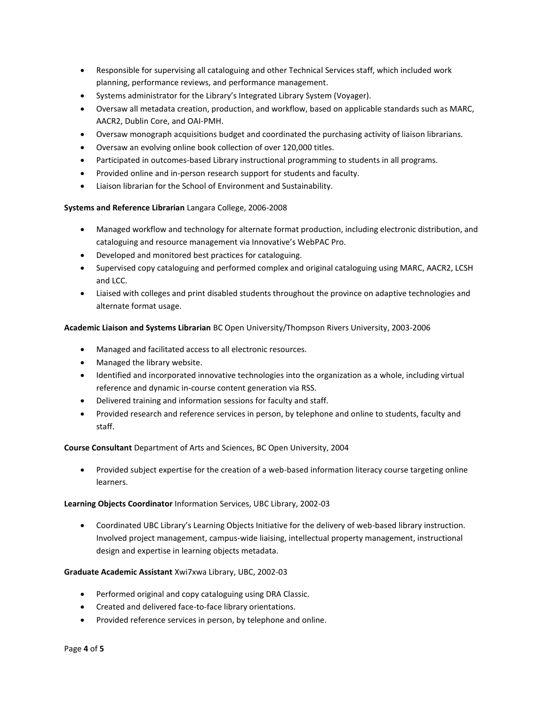- Responsible for supervising all cataloguing and other Technical Services staff, which included work planning, performance reviews, and performance management.
- Systems administrator for the Library's Integrated Library System (Voyager).
- Oversaw all metadata creation, production, and workflow, based on applicable standards such as MARC, AACR2, Dublin Core, and OAI-PMH.
- Oversaw monograph acquisitions budget and coordinated the purchasing activity of liaison librarians.
- Oversaw an evolving online book collection of over 120,000 titles.
- Participated in outcomes-based Library instructional programming to students in all programs.
- Provided online and in-person research support for students and faculty.
- Liaison librarian for the School of Environment and Sustainability.

#### **Systems and Reference Librarian** Langara College, 2006-2008

- Managed workflow and technology for alternate format production, including electronic distribution, and cataloguing and resource management via Innovative's WebPAC Pro.
- Developed and monitored best practices for cataloguing.
- Supervised copy cataloguing and performed complex and original cataloguing using MARC, AACR2, LCSH and LCC.
- Liaised with colleges and print disabled students throughout the province on adaptive technologies and alternate format usage.

#### **Academic Liaison and Systems Librarian** BC Open University/Thompson Rivers University, 2003-2006

- Managed and facilitated access to all electronic resources.
- Managed the library website.
- Identified and incorporated innovative technologies into the organization as a whole, including virtual reference and dynamic in-course content generation via RSS.
- Delivered training and information sessions for faculty and staff.
- Provided research and reference services in person, by telephone and online to students, faculty and staff.

#### **Course Consultant** Department of Arts and Sciences, BC Open University, 2004

 Provided subject expertise for the creation of a web-based information literacy course targeting online learners.

#### **Learning Objects Coordinator** Information Services, UBC Library, 2002-03

 Coordinated UBC Library's Learning Objects Initiative for the delivery of web-based library instruction. Involved project management, campus-wide liaising, intellectual property management, instructional design and expertise in learning objects metadata.

#### **Graduate Academic Assistant** Xwi7xwa Library, UBC, 2002-03

- Performed original and copy cataloguing using DRA Classic.
- Created and delivered face-to-face library orientations.
- Provided reference services in person, by telephone and online.